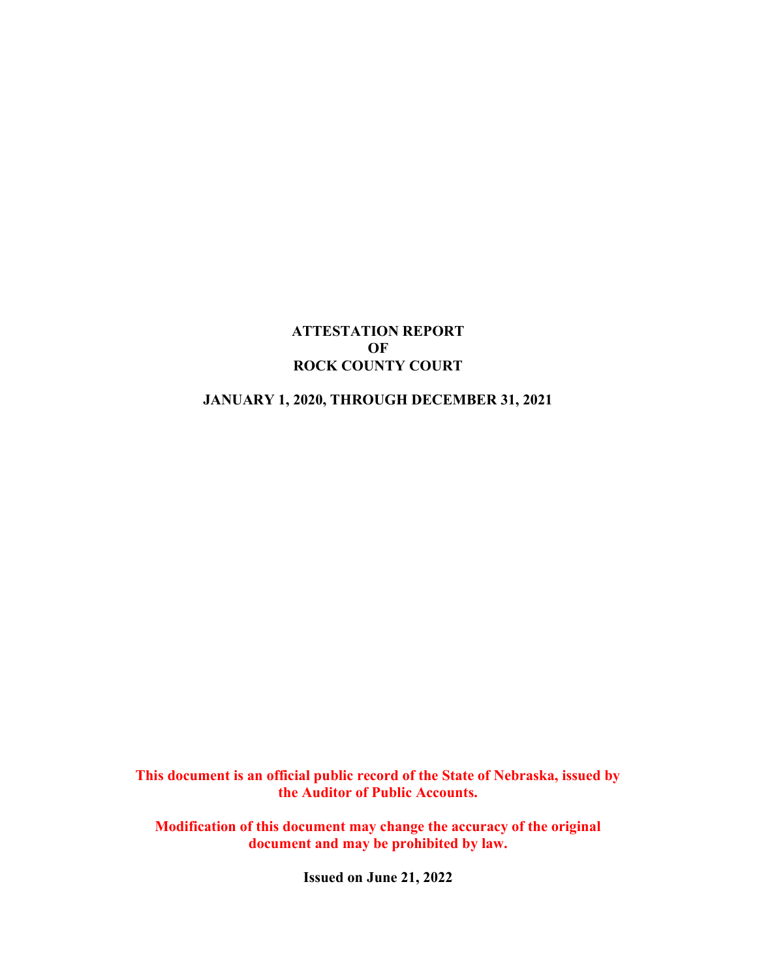## ATTESTATION REPORT OF ROCK COUNTY COURT

## JANUARY 1, 2020, THROUGH DECEMBER 31, 2021

This document is an official public record of the State of Nebraska, issued by the Auditor of Public Accounts.

Modification of this document may change the accuracy of the original document and may be prohibited by law.

Issued on June 21, 2022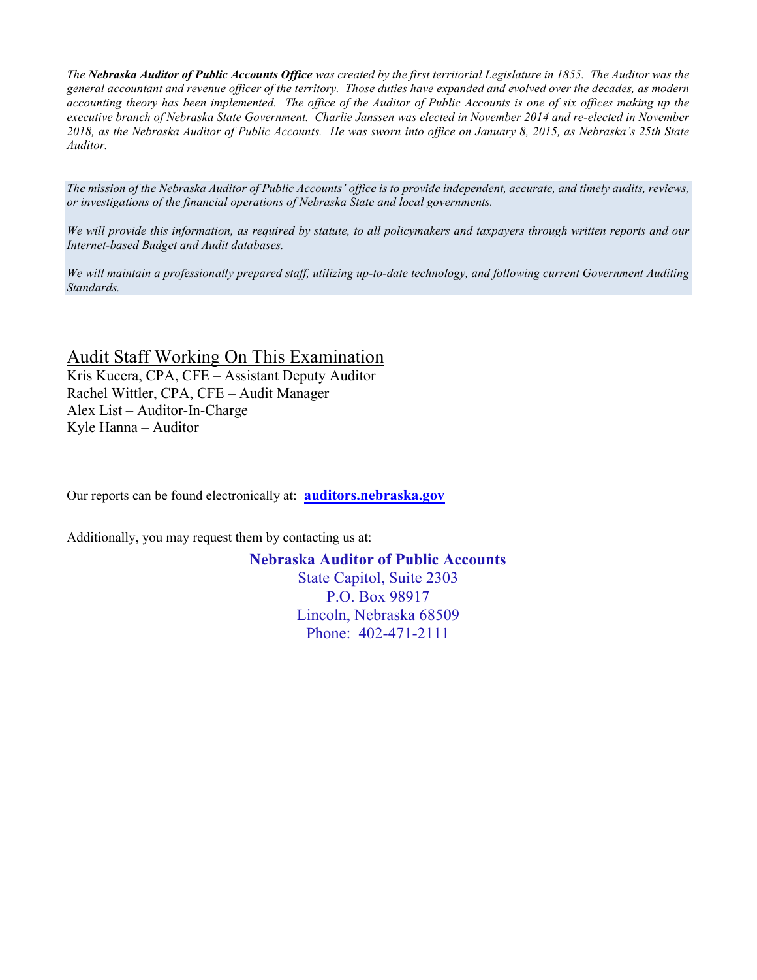The Nebraska Auditor of Public Accounts Office was created by the first territorial Legislature in 1855. The Auditor was the general accountant and revenue officer of the territory. Those duties have expanded and evolved over the decades, as modern accounting theory has been implemented. The office of the Auditor of Public Accounts is one of six offices making up the executive branch of Nebraska State Government. Charlie Janssen was elected in November 2014 and re-elected in November 2018, as the Nebraska Auditor of Public Accounts. He was sworn into office on January 8, 2015, as Nebraska's 25th State Auditor.

The mission of the Nebraska Auditor of Public Accounts' office is to provide independent, accurate, and timely audits, reviews, or investigations of the financial operations of Nebraska State and local governments.

We will provide this information, as required by statute, to all policymakers and taxpayers through written reports and our Internet-based Budget and Audit databases.

We will maintain a professionally prepared staff, utilizing up-to-date technology, and following current Government Auditing Standards.

Audit Staff Working On This Examination Kris Kucera, CPA, CFE – Assistant Deputy Auditor Rachel Wittler, CPA, CFE – Audit Manager Alex List – Auditor-In-Charge Kyle Hanna – Auditor

Our reports can be found electronically at: **auditors.nebraska.gov** 

Additionally, you may request them by contacting us at:

## Nebraska Auditor of Public Accounts

State Capitol, Suite 2303 P.O. Box 98917 Lincoln, Nebraska 68509 Phone: 402-471-2111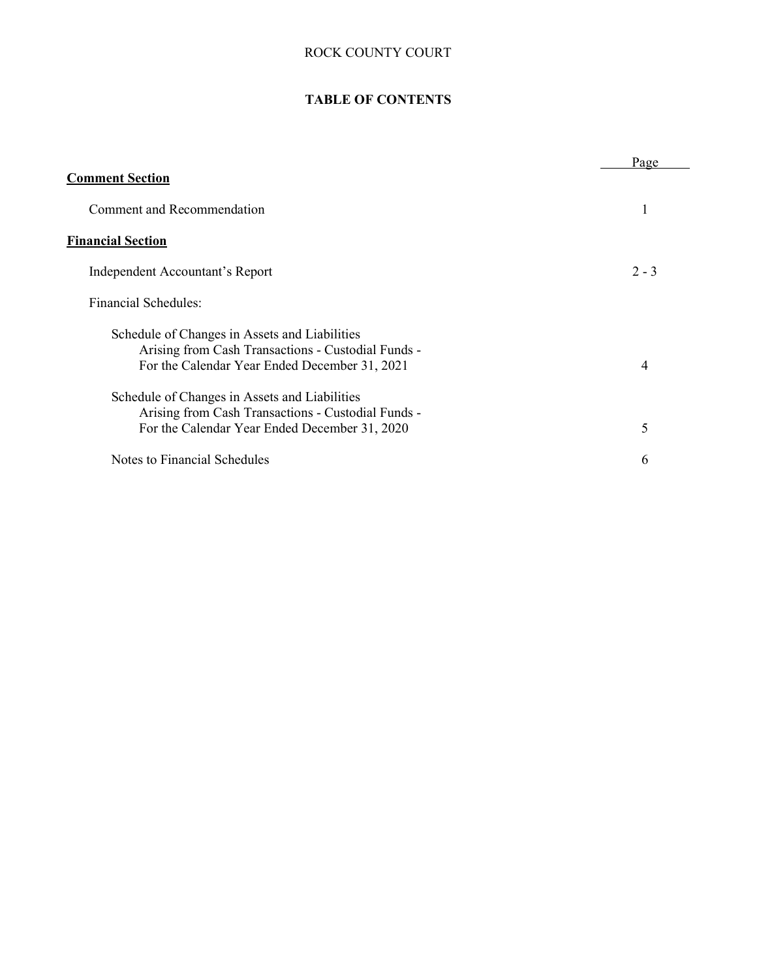## ROCK COUNTY COURT

### TABLE OF CONTENTS

|                                                                                                                                                      | Page    |
|------------------------------------------------------------------------------------------------------------------------------------------------------|---------|
| <b>Comment Section</b>                                                                                                                               |         |
| Comment and Recommendation                                                                                                                           | 1       |
| <b>Financial Section</b>                                                                                                                             |         |
| Independent Accountant's Report                                                                                                                      | $2 - 3$ |
| Financial Schedules:                                                                                                                                 |         |
| Schedule of Changes in Assets and Liabilities<br>Arising from Cash Transactions - Custodial Funds -<br>For the Calendar Year Ended December 31, 2021 | 4       |
| Schedule of Changes in Assets and Liabilities<br>Arising from Cash Transactions - Custodial Funds -<br>For the Calendar Year Ended December 31, 2020 | 5       |
| Notes to Financial Schedules                                                                                                                         | 6       |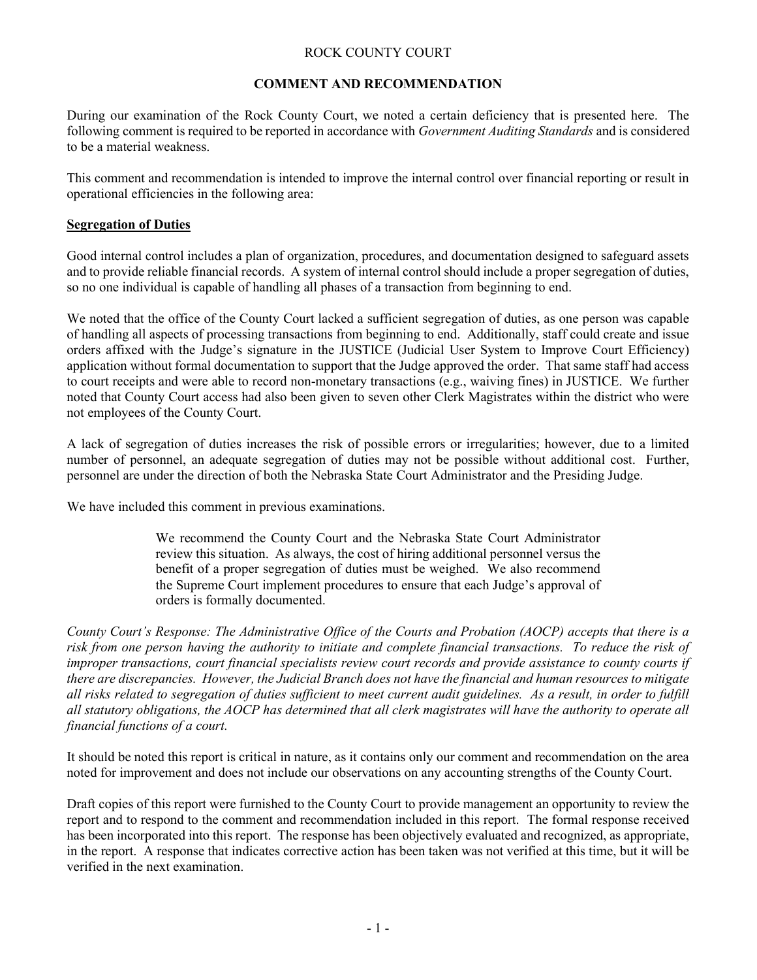#### ROCK COUNTY COURT

#### COMMENT AND RECOMMENDATION

During our examination of the Rock County Court, we noted a certain deficiency that is presented here. The following comment is required to be reported in accordance with *Government Auditing Standards* and is considered to be a material weakness.

This comment and recommendation is intended to improve the internal control over financial reporting or result in operational efficiencies in the following area:

#### Segregation of Duties

Good internal control includes a plan of organization, procedures, and documentation designed to safeguard assets and to provide reliable financial records. A system of internal control should include a proper segregation of duties, so no one individual is capable of handling all phases of a transaction from beginning to end.

We noted that the office of the County Court lacked a sufficient segregation of duties, as one person was capable of handling all aspects of processing transactions from beginning to end. Additionally, staff could create and issue orders affixed with the Judge's signature in the JUSTICE (Judicial User System to Improve Court Efficiency) application without formal documentation to support that the Judge approved the order. That same staff had access to court receipts and were able to record non-monetary transactions (e.g., waiving fines) in JUSTICE. We further noted that County Court access had also been given to seven other Clerk Magistrates within the district who were not employees of the County Court.

A lack of segregation of duties increases the risk of possible errors or irregularities; however, due to a limited number of personnel, an adequate segregation of duties may not be possible without additional cost. Further, personnel are under the direction of both the Nebraska State Court Administrator and the Presiding Judge.

We have included this comment in previous examinations.

We recommend the County Court and the Nebraska State Court Administrator review this situation. As always, the cost of hiring additional personnel versus the benefit of a proper segregation of duties must be weighed. We also recommend the Supreme Court implement procedures to ensure that each Judge's approval of orders is formally documented.

County Court's Response: The Administrative Office of the Courts and Probation (AOCP) accepts that there is a risk from one person having the authority to initiate and complete financial transactions. To reduce the risk of improper transactions, court financial specialists review court records and provide assistance to county courts if there are discrepancies. However, the Judicial Branch does not have the financial and human resources to mitigate all risks related to segregation of duties sufficient to meet current audit guidelines. As a result, in order to fulfill all statutory obligations, the AOCP has determined that all clerk magistrates will have the authority to operate all financial functions of a court.

It should be noted this report is critical in nature, as it contains only our comment and recommendation on the area noted for improvement and does not include our observations on any accounting strengths of the County Court.

Draft copies of this report were furnished to the County Court to provide management an opportunity to review the report and to respond to the comment and recommendation included in this report. The formal response received has been incorporated into this report. The response has been objectively evaluated and recognized, as appropriate, in the report. A response that indicates corrective action has been taken was not verified at this time, but it will be verified in the next examination.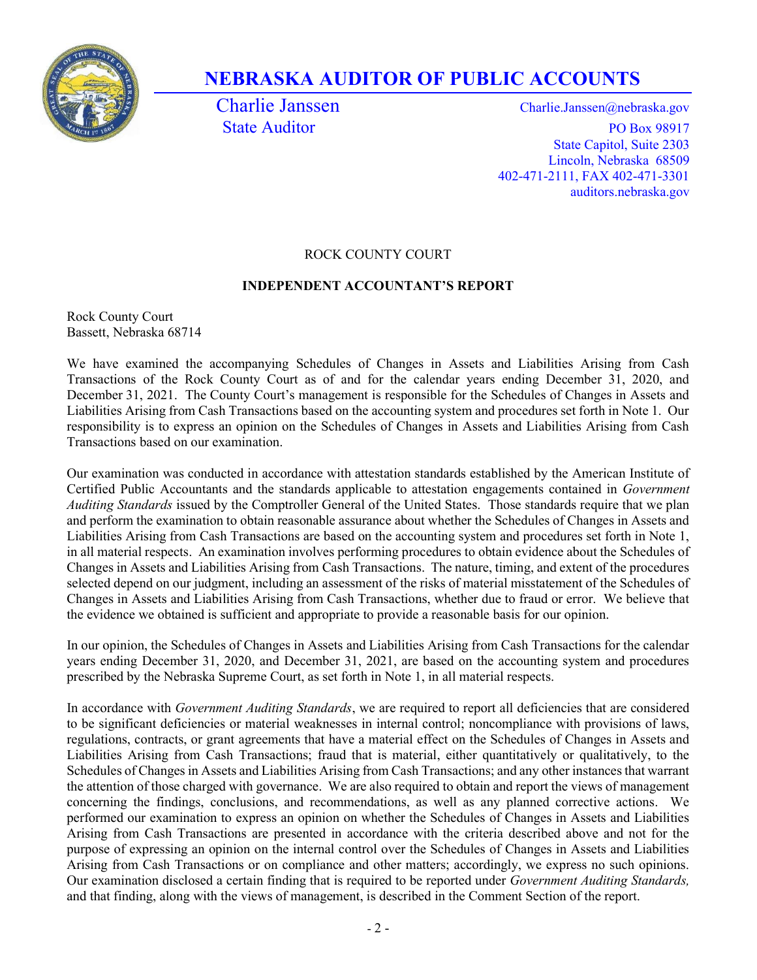

# NEBRASKA AUDITOR OF PUBLIC ACCOUNTS

Charlie Janssen Charlie.Janssen @nebraska.gov State Auditor PO Box 98917 State Capitol, Suite 2303 Lincoln, Nebraska 68509 402-471-2111, FAX 402-471-3301 auditors.nebraska.gov

## ROCK COUNTY COURT

## INDEPENDENT ACCOUNTANT'S REPORT

Rock County Court Bassett, Nebraska 68714

We have examined the accompanying Schedules of Changes in Assets and Liabilities Arising from Cash Transactions of the Rock County Court as of and for the calendar years ending December 31, 2020, and December 31, 2021. The County Court's management is responsible for the Schedules of Changes in Assets and Liabilities Arising from Cash Transactions based on the accounting system and procedures set forth in Note 1. Our responsibility is to express an opinion on the Schedules of Changes in Assets and Liabilities Arising from Cash Transactions based on our examination.

Our examination was conducted in accordance with attestation standards established by the American Institute of Certified Public Accountants and the standards applicable to attestation engagements contained in Government Auditing Standards issued by the Comptroller General of the United States. Those standards require that we plan and perform the examination to obtain reasonable assurance about whether the Schedules of Changes in Assets and Liabilities Arising from Cash Transactions are based on the accounting system and procedures set forth in Note 1, in all material respects. An examination involves performing procedures to obtain evidence about the Schedules of Changes in Assets and Liabilities Arising from Cash Transactions. The nature, timing, and extent of the procedures selected depend on our judgment, including an assessment of the risks of material misstatement of the Schedules of Changes in Assets and Liabilities Arising from Cash Transactions, whether due to fraud or error. We believe that the evidence we obtained is sufficient and appropriate to provide a reasonable basis for our opinion.

In our opinion, the Schedules of Changes in Assets and Liabilities Arising from Cash Transactions for the calendar years ending December 31, 2020, and December 31, 2021, are based on the accounting system and procedures prescribed by the Nebraska Supreme Court, as set forth in Note 1, in all material respects.

In accordance with Government Auditing Standards, we are required to report all deficiencies that are considered to be significant deficiencies or material weaknesses in internal control; noncompliance with provisions of laws, regulations, contracts, or grant agreements that have a material effect on the Schedules of Changes in Assets and Liabilities Arising from Cash Transactions; fraud that is material, either quantitatively or qualitatively, to the Schedules of Changes in Assets and Liabilities Arising from Cash Transactions; and any other instances that warrant the attention of those charged with governance. We are also required to obtain and report the views of management concerning the findings, conclusions, and recommendations, as well as any planned corrective actions. We performed our examination to express an opinion on whether the Schedules of Changes in Assets and Liabilities Arising from Cash Transactions are presented in accordance with the criteria described above and not for the purpose of expressing an opinion on the internal control over the Schedules of Changes in Assets and Liabilities Arising from Cash Transactions or on compliance and other matters; accordingly, we express no such opinions. Our examination disclosed a certain finding that is required to be reported under Government Auditing Standards, and that finding, along with the views of management, is described in the Comment Section of the report.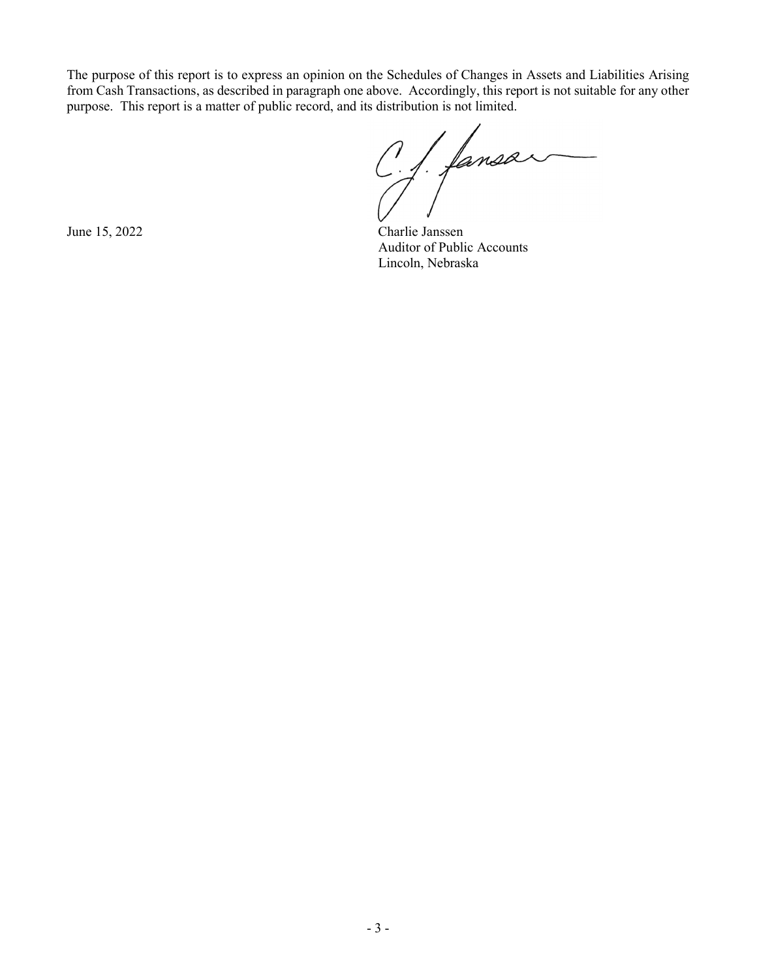The purpose of this report is to express an opinion on the Schedules of Changes in Assets and Liabilities Arising from Cash Transactions, as described in paragraph one above. Accordingly, this report is not suitable for any other purpose. This report is a matter of public record, and its distribution is not limited.

C. J. fansar

June 15, 2022 Charlie Janssen Auditor of Public Accounts Lincoln, Nebraska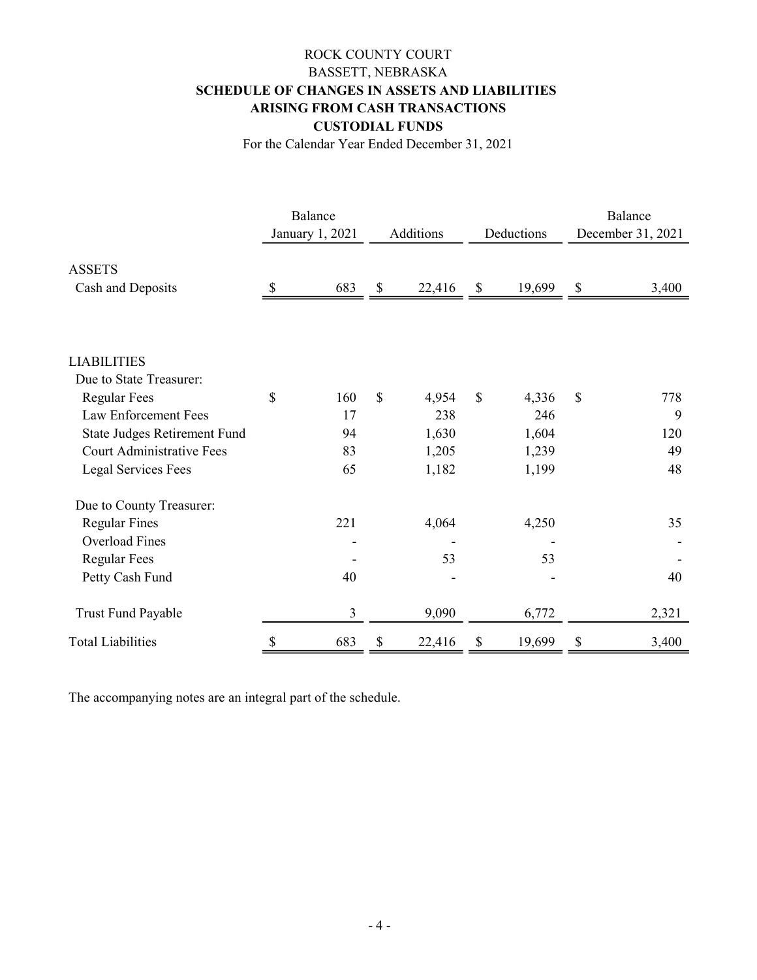## For the Calendar Year Ended December 31, 2021 ROCK COUNTY COURT BASSETT, NEBRASKA SCHEDULE OF CHANGES IN ASSETS AND LIABILITIES ARISING FROM CASH TRANSACTIONS CUSTODIAL FUNDS

Balance Balance January 1, 2021 Additions Deductions December 31, 2021 ASSETS Cash and Deposits \$ 683 \$ 22,416 \$ 19,699 \$ 3,400 LIABILITIES Due to State Treasurer: Regular Fees \$ 160 \$ 4,954 \$ 4,336 \$ 778 Law Enforcement Fees 17 238 246 9 State Judges Retirement Fund 94 1,630 1,604 120 Court Administrative Fees 83 1,205 1,239 49 Legal Services Fees 65 1,182 1,199 48 Due to County Treasurer: Regular Fines 221 4,064 4,250 35 Overload Fines - - - - Regular Fees - 53 53 - 53 Petty Cash Fund 40 - - 40 Trust Fund Payable 2,321 Total Liabilities \$ 683 \$ 22,416 \$ 19,699 \$ 3,400

The accompanying notes are an integral part of the schedule.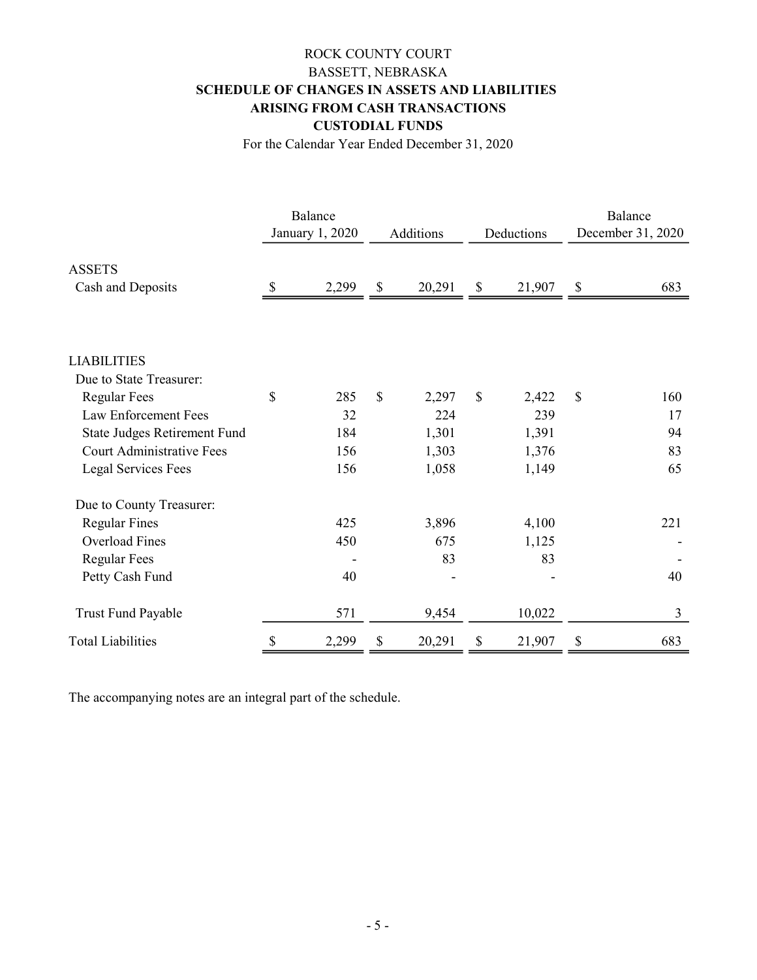## For the Calendar Year Ended December 31, 2020 ROCK COUNTY COURT BASSETT, NEBRASKA SCHEDULE OF CHANGES IN ASSETS AND LIABILITIES ARISING FROM CASH TRANSACTIONS CUSTODIAL FUNDS

Balance Balance January 1, 2020 Additions Deductions December 31, 2020 ASSETS Cash and Deposits \$ 2,299 \$ 20,291 \$ 21,907 \$ 683 LIABILITIES Due to State Treasurer: Regular Fees \$ 285 \$ 2,297 \$ 2,422 \$ 160 Law Enforcement Fees 32 224 239 17 State Judges Retirement Fund 184 1,301 1,391 94 Court Administrative Fees 156 1,303 1,376 83 Legal Services Fees 156 1,058 1,149 65 Due to County Treasurer: Regular Fines 425 425 3,896 4,100 221 Overload Fines  $450$   $675$   $1,125$   $-$ Regular Fees - 83 83 - 83 Petty Cash Fund 40 - - 40 Trust Fund Payable 571 9,454 10,022 3 Total Liabilities  $\begin{array}{cccc} \text{5} & 2,299 & \text{1} & 20,291 & \text{1} & 21,907 & \text{1} & 683 \\ \end{array}$ 

The accompanying notes are an integral part of the schedule.